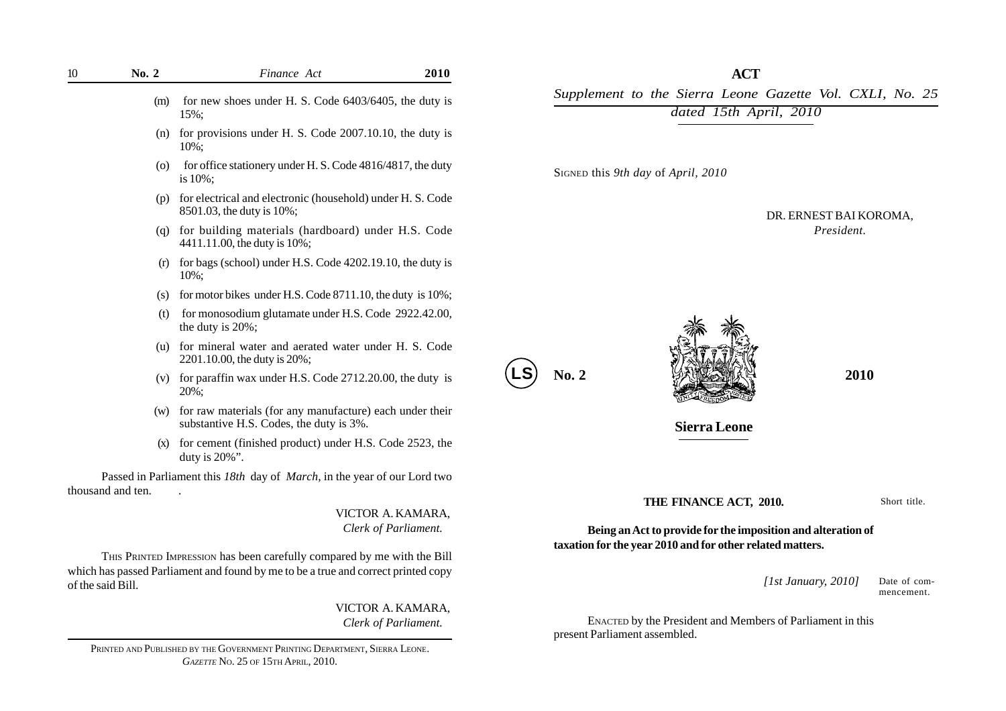- (m) for new shoes under H. S. Code 6403/6405, the duty is 15%;
- (n) for provisions under H. S. Code 2007.10.10, the duty is 10%;
- (o) for office stationery under H. S. Code 4816/4817, the duty is 10%;
- (p) for electrical and electronic (household) under H. S. Code 8501.03, the duty is 10%;
- (q) for building materials (hardboard) under H.S. Code 4411.11.00, the duty is 10%;
- (r) for bags (school) under H.S. Code 4202.19.10, the duty is 10%;
- (s) for motor bikes under H.S. Code 8711.10, the duty is 10%;
- (t) for monosodium glutamate under H.S. Code 2922.42.00, the duty is 20%;
- (u) for mineral water and aerated water under H. S. Code 2201.10.00, the duty is 20%;
- (v) for paraffin wax under H.S. Code 2712.20.00, the duty is 20%;
- (w) for raw materials (for any manufacture) each under their substantive H.S. Codes, the duty is 3%.
- (x) for cement (finished product) under H.S. Code 2523, the duty is 20%".

Passed in Parliament this *18th* day of *March,* in the year of our Lord two thousand and ten. .

> VICTOR A. KAMARA, *Clerk of Parliament.*

THIS PRINTED IMPRESSION has been carefully compared by me with the Bill which has passed Parliament and found by me to be a true and correct printed copy of the said Bill.

> VICTOR A. KAMARA, *Clerk of Parliament.*

PRINTED AND PUBLISHED BY THE GOVERNMENT PRINTING DEPARTMENT, SIERRA LEONE. *GAZETTE* NO. 25 OF 15TH APRIL, 2010.

*Supplement to the Sierra Leone Gazette Vol. CXLI, No. 25*

*dated 15th April, 2010*

SIGNED this *9th day* of *April, 2010*

DR. ERNEST BAI KOROMA, *President.*





**Sierra Leone**

## **THE FINANCE ACT, 2010.**

Short title.

**Being an Act to provide for the imposition and alteration of taxation for the year 2010 and for other related matters.**

 *[1st January, 2010]*

Date of commencement.

ENACTED by the President and Members of Parliament in this present Parliament assembled.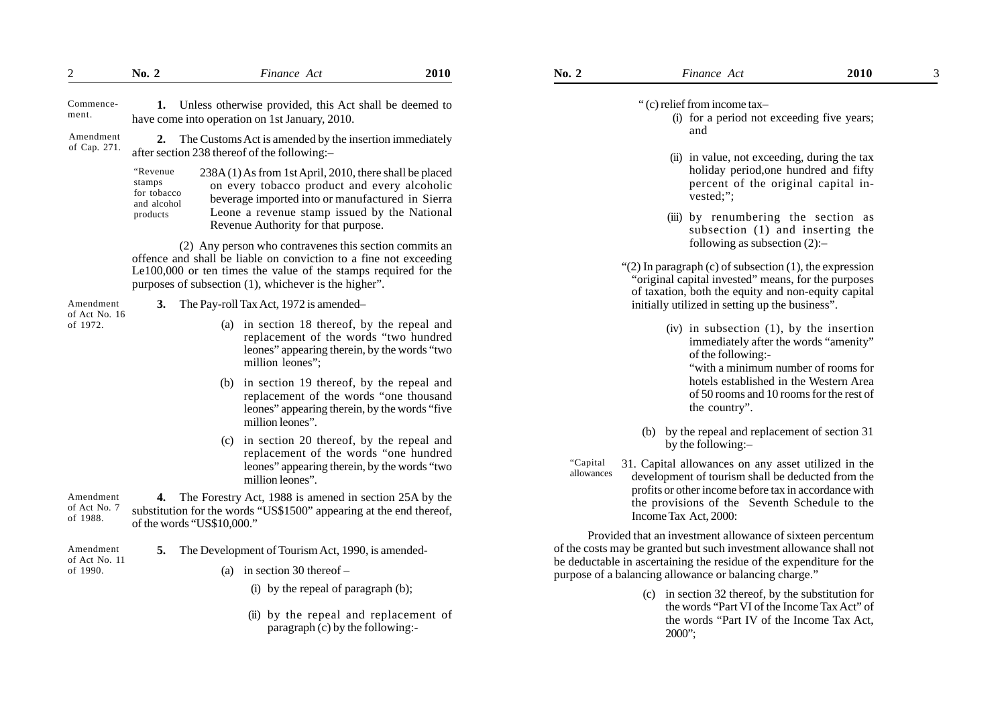| 2                                      | No. 2                                                                                                                                                                                                                                                                                                             | Finance Act                                                                                                                                                 | <b>2010</b>                                                                                                                                           | No. $2$                                                                                                                                                              | Finance Act                                                                                                                                                                                                  | 2010 |  |  |
|----------------------------------------|-------------------------------------------------------------------------------------------------------------------------------------------------------------------------------------------------------------------------------------------------------------------------------------------------------------------|-------------------------------------------------------------------------------------------------------------------------------------------------------------|-------------------------------------------------------------------------------------------------------------------------------------------------------|----------------------------------------------------------------------------------------------------------------------------------------------------------------------|--------------------------------------------------------------------------------------------------------------------------------------------------------------------------------------------------------------|------|--|--|
| Commence-<br>ment.                     | 1. Unless otherwise provided, this Act shall be deemed to<br>have come into operation on 1st January, 2010.                                                                                                                                                                                                       |                                                                                                                                                             |                                                                                                                                                       | "(c) relief from income tax-<br>(i) for a period not exceeding five years;                                                                                           |                                                                                                                                                                                                              |      |  |  |
| Amendment<br>of Cap. 271.              | 2. The Customs Act is amended by the insertion immediately<br>after section 238 thereof of the following:-                                                                                                                                                                                                        |                                                                                                                                                             |                                                                                                                                                       | and<br>(ii) in value, not exceeding, during the tax                                                                                                                  |                                                                                                                                                                                                              |      |  |  |
|                                        | "Revenue<br>238A(1) As from 1st April, 2010, there shall be placed<br>stamps<br>on every tobacco product and every alcoholic<br>for tobacco<br>beverage imported into or manufactured in Sierra<br>and alcohol<br>Leone a revenue stamp issued by the National<br>products<br>Revenue Authority for that purpose. |                                                                                                                                                             |                                                                                                                                                       | holiday period, one hundred and fifty<br>percent of the original capital in-<br>vested;";<br>(iii) by renumbering the section as<br>subsection (1) and inserting the |                                                                                                                                                                                                              |      |  |  |
|                                        | (2) Any person who contravenes this section commits an<br>offence and shall be liable on conviction to a fine not exceeding<br>Le100,000 or ten times the value of the stamps required for the<br>purposes of subsection (1), whichever is the higher".                                                           |                                                                                                                                                             |                                                                                                                                                       |                                                                                                                                                                      | following as subsection $(2)$ :-<br>" $(2)$ In paragraph (c) of subsection (1), the expression<br>"original capital invested" means, for the purposes<br>of taxation, both the equity and non-equity capital |      |  |  |
| Amendment<br>of Act No. 16<br>of 1972. | 3. The Pay-roll Tax Act, 1972 is amended-                                                                                                                                                                                                                                                                         |                                                                                                                                                             |                                                                                                                                                       |                                                                                                                                                                      | initially utilized in setting up the business".                                                                                                                                                              |      |  |  |
|                                        |                                                                                                                                                                                                                                                                                                                   | (a) in section 18 thereof, by the repeal and<br>replacement of the words "two hundred<br>leones" appearing therein, by the words "two<br>million leones";   |                                                                                                                                                       |                                                                                                                                                                      | (iv) in subsection $(1)$ , by the insertion<br>immediately after the words "amenity"<br>of the following:-<br>"with a minimum number of rooms for                                                            |      |  |  |
|                                        |                                                                                                                                                                                                                                                                                                                   | (b) in section 19 thereof, by the repeal and<br>replacement of the words "one thousand<br>leones" appearing therein, by the words "five<br>million leones". |                                                                                                                                                       |                                                                                                                                                                      | hotels established in the Western Area<br>of 50 rooms and 10 rooms for the rest of<br>the country".                                                                                                          |      |  |  |
|                                        | (c)                                                                                                                                                                                                                                                                                                               |                                                                                                                                                             | in section 20 thereof, by the repeal and<br>replacement of the words "one hundred<br>leones" appearing therein, by the words "two<br>million leones". |                                                                                                                                                                      | (b) by the repeal and replacement of section 31<br>by the following:-                                                                                                                                        |      |  |  |
|                                        |                                                                                                                                                                                                                                                                                                                   |                                                                                                                                                             |                                                                                                                                                       | "Capital<br>allowances                                                                                                                                               | 31. Capital allowances on any asset utilized in the<br>development of tourism shall be deducted from the                                                                                                     |      |  |  |
| Amendment<br>of Act No. 7<br>of 1988.  | 4. The Forestry Act, 1988 is amened in section 25A by the<br>substitution for the words "US\$1500" appearing at the end thereof,<br>of the words "US\$10,000."                                                                                                                                                    |                                                                                                                                                             |                                                                                                                                                       |                                                                                                                                                                      | profits or other income before tax in accordance with<br>the provisions of the Seventh Schedule to the<br>Income Tax Act, 2000:                                                                              |      |  |  |
|                                        |                                                                                                                                                                                                                                                                                                                   |                                                                                                                                                             |                                                                                                                                                       |                                                                                                                                                                      | Provided that an investment allowance of sixteen percentum                                                                                                                                                   |      |  |  |
| Amendment<br>of Act No. 11<br>of 1990. |                                                                                                                                                                                                                                                                                                                   | 5. The Development of Tourism Act, 1990, is amended-<br>(a) in section 30 thereof $-$                                                                       |                                                                                                                                                       |                                                                                                                                                                      | of the costs may be granted but such investment allowance shall not<br>be deductable in ascertaining the residue of the expenditure for the<br>purpose of a balancing allowance or balancing charge."        |      |  |  |
|                                        |                                                                                                                                                                                                                                                                                                                   | (i) by the repeal of paragraph $(b)$ ;                                                                                                                      |                                                                                                                                                       |                                                                                                                                                                      |                                                                                                                                                                                                              |      |  |  |
|                                        |                                                                                                                                                                                                                                                                                                                   | (ii) by the repeal and replacement of<br>paragraph (c) by the following:-                                                                                   |                                                                                                                                                       |                                                                                                                                                                      | (c) in section 32 thereof, by the substitution for<br>the words "Part VI of the Income Tax Act" of<br>the words "Part IV of the Income Tax Act,<br>$2000$ ":                                                 |      |  |  |

- (i) for a period not exceeding five years; and
- (ii) in value, not exceeding, during the tax holiday period,one hundred and fifty percent of the original capital invested:":
- (iii) by renumbering the section as subsection (1) and inserting the following as subsection  $(2)$ :-

- (b) by the repeal and replacement of section 31 by the following:–
- 31. Capital allowances on any asset utilized in the development of tourism shall be deducted from the profits or other income before tax in accordance with the provisions of the Seventh Schedule to the Income Tax Act, 2000: "Capital allowances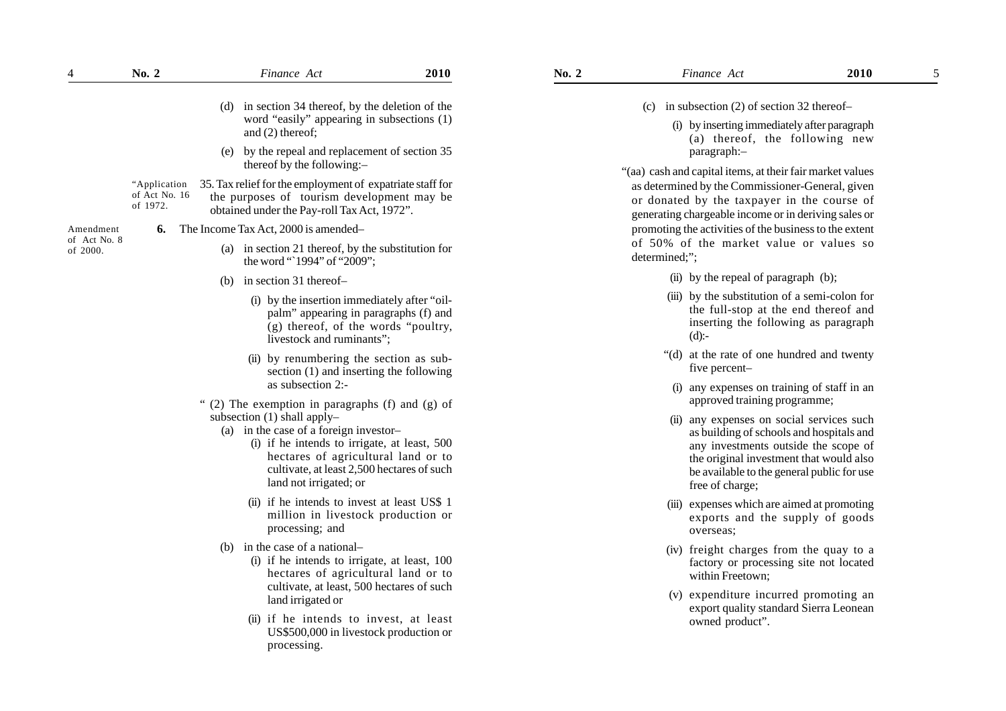| 4                                     | $\bf{No.}$ 2                                                                                                                                                                                                                           | Finance Act                                                                                                                                                                                                                                                                                                                                                                                                                                                                        | <b>2010</b>                                                                      | No. 2                                                                                                                                                                                                                                                                                                                                                                                                                                                                                |                                                                                                                                                                                                                                           | Finance Act                                                                                                                                | 2010 |
|---------------------------------------|----------------------------------------------------------------------------------------------------------------------------------------------------------------------------------------------------------------------------------------|------------------------------------------------------------------------------------------------------------------------------------------------------------------------------------------------------------------------------------------------------------------------------------------------------------------------------------------------------------------------------------------------------------------------------------------------------------------------------------|----------------------------------------------------------------------------------|--------------------------------------------------------------------------------------------------------------------------------------------------------------------------------------------------------------------------------------------------------------------------------------------------------------------------------------------------------------------------------------------------------------------------------------------------------------------------------------|-------------------------------------------------------------------------------------------------------------------------------------------------------------------------------------------------------------------------------------------|--------------------------------------------------------------------------------------------------------------------------------------------|------|
|                                       |                                                                                                                                                                                                                                        | in section 34 thereof, by the deletion of the<br>(d)<br>word "easily" appearing in subsections (1)                                                                                                                                                                                                                                                                                                                                                                                 |                                                                                  | in subsection $(2)$ of section 32 thereof-<br>$\left( \mathrm{c} \right)$<br>(i) by inserting immediately after paragraph                                                                                                                                                                                                                                                                                                                                                            |                                                                                                                                                                                                                                           |                                                                                                                                            |      |
| Amendment<br>of Act No. 8<br>of 2000. | "Application<br>of Act No. 16<br>of 1972.                                                                                                                                                                                              | and (2) thereof;<br>(e) by the repeal and replacement of section 35<br>thereof by the following:-<br>35. Tax relief for the employment of expatriate staff for<br>the purposes of tourism development may be<br>obtained under the Pay-roll Tax Act, 1972".<br><b>6.</b> The Income Tax Act, 2000 is amended-<br>(a) in section 21 thereof, by the substitution for<br>the word "1994" of "2009";<br>in section 31 thereof-<br>(b)<br>(i) by the insertion immediately after "oil- |                                                                                  | (a) thereof, the following new<br>paragraph:-<br>"(aa) cash and capital items, at their fair market values<br>as determined by the Commissioner-General, given<br>or donated by the taxpayer in the course of<br>generating chargeable income or in deriving sales or<br>promoting the activities of the business to the extent<br>of 50% of the market value or values so<br>determined;";<br>(ii) by the repeal of paragraph (b);<br>(iii) by the substitution of a semi-colon for |                                                                                                                                                                                                                                           |                                                                                                                                            |      |
|                                       |                                                                                                                                                                                                                                        | palm" appearing in paragraphs (f) and<br>(g) thereof, of the words "poultry,<br>livestock and ruminants".                                                                                                                                                                                                                                                                                                                                                                          |                                                                                  |                                                                                                                                                                                                                                                                                                                                                                                                                                                                                      |                                                                                                                                                                                                                                           | the full-stop at the end thereof and<br>inserting the following as paragraph<br>$(d)$ :-                                                   |      |
|                                       | $\epsilon$                                                                                                                                                                                                                             | (ii) by renumbering the section as sub-<br>section (1) and inserting the following<br>as subsection 2:-<br>$(2)$ The exemption in paragraphs $(f)$ and $(g)$ of                                                                                                                                                                                                                                                                                                                    |                                                                                  |                                                                                                                                                                                                                                                                                                                                                                                                                                                                                      |                                                                                                                                                                                                                                           | "(d) at the rate of one hundred and twenty<br>five percent-<br>(i) any expenses on training of staff in an<br>approved training programme; |      |
|                                       | subsection $(1)$ shall apply-<br>(a) in the case of a foreign investor-<br>(i) if he intends to irrigate, at least, 500<br>hectares of agricultural land or to<br>cultivate, at least 2,500 hectares of such<br>land not irrigated; or |                                                                                                                                                                                                                                                                                                                                                                                                                                                                                    |                                                                                  |                                                                                                                                                                                                                                                                                                                                                                                                                                                                                      | (ii) any expenses on social services such<br>as building of schools and hospitals and<br>any investments outside the scope of<br>the original investment that would also<br>be available to the general public for use<br>free of charge; |                                                                                                                                            |      |
|                                       | (ii) if he intends to invest at least US\$ 1<br>million in livestock production or<br>processing; and                                                                                                                                  |                                                                                                                                                                                                                                                                                                                                                                                                                                                                                    |                                                                                  |                                                                                                                                                                                                                                                                                                                                                                                                                                                                                      |                                                                                                                                                                                                                                           | (iii) expenses which are aimed at promoting<br>exports and the supply of goods<br>overseas;                                                |      |
|                                       | in the case of a national-<br>(b)<br>(i) if he intends to irrigate, at least, 100<br>hectares of agricultural land or to<br>cultivate, at least, 500 hectares of such<br>land irrigated or<br>processing.                              |                                                                                                                                                                                                                                                                                                                                                                                                                                                                                    |                                                                                  |                                                                                                                                                                                                                                                                                                                                                                                                                                                                                      | (iv) freight charges from the quay to a<br>factory or processing site not located<br>within Freetown;                                                                                                                                     |                                                                                                                                            |      |
|                                       |                                                                                                                                                                                                                                        |                                                                                                                                                                                                                                                                                                                                                                                                                                                                                    | (ii) if he intends to invest, at least<br>US\$500,000 in livestock production or |                                                                                                                                                                                                                                                                                                                                                                                                                                                                                      |                                                                                                                                                                                                                                           | (v) expenditure incurred promoting an<br>export quality standard Sierra Leonean<br>owned product".                                         |      |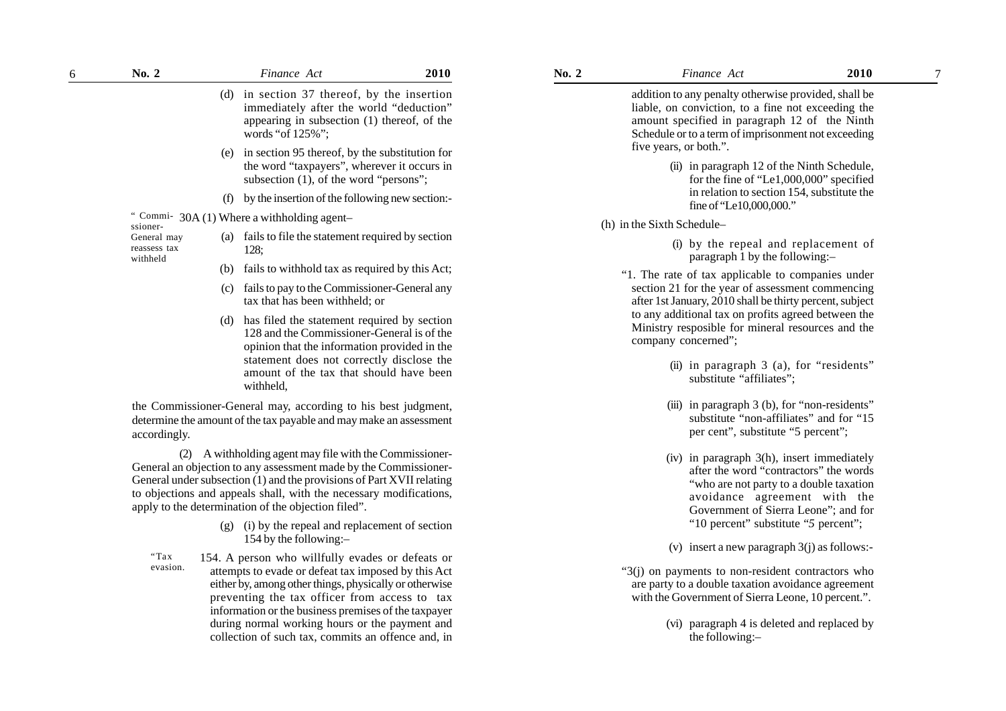| 6 | No. 2                                   | Finance Act                                                                                                                                                                                                                                                                                                                       | 2010                                                                                 | No. 2                                                                                                                                | Finance Act                                                                                                                                                                                                                                  | 2010 |  |
|---|-----------------------------------------|-----------------------------------------------------------------------------------------------------------------------------------------------------------------------------------------------------------------------------------------------------------------------------------------------------------------------------------|--------------------------------------------------------------------------------------|--------------------------------------------------------------------------------------------------------------------------------------|----------------------------------------------------------------------------------------------------------------------------------------------------------------------------------------------------------------------------------------------|------|--|
|   |                                         | (d) in section 37 thereof, by the insertion<br>immediately after the world "deduction"<br>appearing in subsection (1) thereof, of the<br>words "of 125%";<br>in section 95 thereof, by the substitution for<br>(e)                                                                                                                |                                                                                      |                                                                                                                                      | addition to any penalty otherwise provided, shall be<br>liable, on conviction, to a fine not exceeding the<br>amount specified in paragraph 12 of the Ninth<br>Schedule or to a term of imprisonment not exceeding<br>five years, or both.". |      |  |
|   |                                         | the word "taxpayers", wherever it occurs in<br>subsection (1), of the word "persons";                                                                                                                                                                                                                                             |                                                                                      | (ii) in paragraph 12 of the Ninth Schedule,<br>for the fine of "Le1,000,000" specified<br>in relation to section 154, substitute the |                                                                                                                                                                                                                                              |      |  |
|   |                                         | by the insertion of the following new section:-<br>(f)                                                                                                                                                                                                                                                                            |                                                                                      | fine of "Le10,000,000."                                                                                                              |                                                                                                                                                                                                                                              |      |  |
|   | ssioner-                                | " Commi- 30A (1) Where a withholding agent-                                                                                                                                                                                                                                                                                       |                                                                                      |                                                                                                                                      | (h) in the Sixth Schedule-                                                                                                                                                                                                                   |      |  |
|   | General may<br>reassess tax<br>withheld | (a) fails to file the statement required by section<br>128;                                                                                                                                                                                                                                                                       |                                                                                      |                                                                                                                                      | (i) by the repeal and replacement of<br>paragraph 1 by the following:-                                                                                                                                                                       |      |  |
|   |                                         | fails to withhold tax as required by this Act;<br>(b)                                                                                                                                                                                                                                                                             |                                                                                      |                                                                                                                                      | "1. The rate of tax applicable to companies under<br>section 21 for the year of assessment commencing<br>after 1st January, 2010 shall be thirty percent, subject                                                                            |      |  |
|   |                                         | fails to pay to the Commissioner-General any<br>(c)<br>tax that has been withheld; or                                                                                                                                                                                                                                             |                                                                                      |                                                                                                                                      |                                                                                                                                                                                                                                              |      |  |
|   |                                         | has filed the statement required by section<br>(d)<br>128 and the Commissioner-General is of the<br>opinion that the information provided in the                                                                                                                                                                                  |                                                                                      | to any additional tax on profits agreed between the<br>Ministry resposible for mineral resources and the<br>company concerned";      |                                                                                                                                                                                                                                              |      |  |
|   |                                         | withheld,                                                                                                                                                                                                                                                                                                                         | statement does not correctly disclose the<br>amount of the tax that should have been |                                                                                                                                      | (ii) in paragraph 3 (a), for "residents"<br>substitute "affiliates";                                                                                                                                                                         |      |  |
|   | accordingly.                            | the Commissioner-General may, according to his best judgment,<br>determine the amount of the tax payable and may make an assessment                                                                                                                                                                                               |                                                                                      |                                                                                                                                      | (iii) in paragraph 3 (b), for "non-residents"<br>substitute "non-affiliates" and for "15<br>per cent", substitute "5 percent";                                                                                                               |      |  |
|   |                                         | (2) A withholding agent may file with the Commissioner-<br>General an objection to any assessment made by the Commissioner-<br>General under subsection (1) and the provisions of Part XVII relating<br>to objections and appeals shall, with the necessary modifications,<br>apply to the determination of the objection filed". |                                                                                      |                                                                                                                                      | $(iv)$ in paragraph $3(h)$ , insert immediately<br>after the word "contractors" the words<br>"who are not party to a double taxation<br>avoidance agreement with the<br>Government of Sierra Leone"; and for                                 |      |  |
|   |                                         | (g) (i) by the repeal and replacement of section<br>154 by the following:-                                                                                                                                                                                                                                                        |                                                                                      |                                                                                                                                      | "10 percent" substitute "5 percent";                                                                                                                                                                                                         |      |  |
|   | "Tax                                    | 154 A person who willfully evades or defeats or                                                                                                                                                                                                                                                                                   |                                                                                      |                                                                                                                                      | (v) insert a new paragraph $3(j)$ as follows:-                                                                                                                                                                                               |      |  |

154. A person who willfully evades or defeats or attempts to evade or defeat tax imposed by this Act either by, among other things, physically or otherwise preventing the tax officer from access to tax information or the business premises of the taxpayer during normal working hours or the payment and collection of such tax, commits an offence and, in evasion.

- substitute "affiliates";
- (iii) in paragraph 3 (b), for "non-residents" substitute "non-affiliates" and for "15 per cent", substitute "5 percent";
- (iv) in paragraph 3(h), insert immediately after the word "contractors" the words "who are not party to a double taxation avoidance agreement with the Government of Sierra Leone"; and for "10 percent" substitute "*5* percent";
- (v) insert a new paragraph 3(j) as follows:-
- "3(j) on payments to non-resident contractors who are party to a double taxation avoidance agreement with the Government of Sierra Leone, 10 percent.".
	- (vi) paragraph 4 is deleted and replaced by the following:–